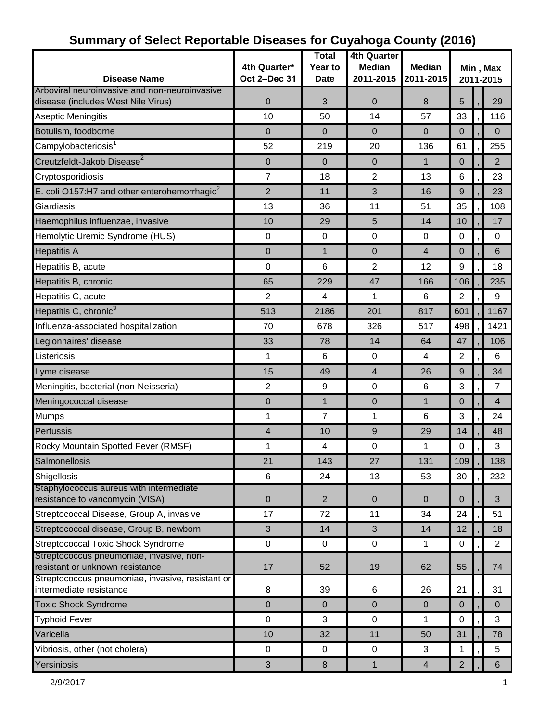| <b>Disease Name</b>                                                                 | 4th Quarter*<br>Oct 2-Dec 31 | <b>Total</b><br>Year to<br><b>Date</b> | <b>4th Quarter</b><br><b>Median</b><br>2011-2015 | <b>Median</b><br>2011-2015 | Min, Max<br>2011-2015 |  |                |
|-------------------------------------------------------------------------------------|------------------------------|----------------------------------------|--------------------------------------------------|----------------------------|-----------------------|--|----------------|
| Arboviral neuroinvasive and non-neuroinvasive<br>disease (includes West Nile Virus) | $\mathbf 0$                  | 3                                      | $\mathbf 0$                                      | 8                          | 5                     |  | 29             |
| Aseptic Meningitis                                                                  | 10                           | 50                                     | 14                                               | 57                         | 33                    |  | 116            |
| Botulism, foodborne                                                                 | $\overline{0}$               | $\mathbf 0$                            | $\mathbf 0$                                      | $\overline{0}$             | $\mathbf 0$           |  | $\overline{0}$ |
| Campylobacteriosis <sup>1</sup>                                                     | 52                           | 219                                    | 20                                               | 136                        | 61                    |  | 255            |
| Creutzfeldt-Jakob Disease <sup>2</sup>                                              | $\mathbf 0$                  | $\Omega$                               | $\mathbf 0$                                      | $\mathbf{1}$               | $\mathbf 0$           |  | $\overline{2}$ |
| Cryptosporidiosis                                                                   | $\overline{7}$               | 18                                     | $\overline{2}$                                   | 13                         | $6\phantom{1}6$       |  | 23             |
| E. coli O157:H7 and other enterohemorrhagic $^2$                                    | $\overline{2}$               | 11                                     | 3                                                | 16                         | 9                     |  | 23             |
| Giardiasis                                                                          | 13                           | 36                                     | 11                                               | 51                         | 35                    |  | 108            |
| Haemophilus influenzae, invasive                                                    | 10                           | 29                                     | 5                                                | 14                         | 10                    |  | 17             |
| Hemolytic Uremic Syndrome (HUS)                                                     | $\mathbf 0$                  | $\mathbf 0$                            | 0                                                | $\mathbf 0$                | 0                     |  | 0              |
| <b>Hepatitis A</b>                                                                  | $\overline{0}$               | $\mathbf{1}$                           | $\mathbf 0$                                      | $\overline{4}$             | $\mathbf 0$           |  | 6              |
| Hepatitis B, acute                                                                  | $\mathbf 0$                  | 6                                      | $\overline{2}$                                   | 12                         | $9\,$                 |  | 18             |
| Hepatitis B, chronic                                                                | 65                           | 229                                    | 47                                               | 166                        | 106                   |  | 235            |
| Hepatitis C, acute                                                                  | $\overline{2}$               | 4                                      | 1                                                | 6                          | $\overline{2}$        |  | 9              |
| Hepatitis C, chronic <sup>3</sup>                                                   | 513                          | 2186                                   | 201                                              | 817                        | 601                   |  | 1167           |
| Influenza-associated hospitalization                                                | 70                           | 678                                    | 326                                              | 517                        | 498                   |  | 1421           |
| Legionnaires' disease                                                               | 33                           | 78                                     | 14                                               | 64                         | 47                    |  | 106            |
| Listeriosis                                                                         | 1                            | 6                                      | 0                                                | 4                          | $\mathbf{2}$          |  | 6              |
| Lyme disease                                                                        | 15                           | 49                                     | $\overline{4}$                                   | 26                         | 9                     |  | 34             |
| Meningitis, bacterial (non-Neisseria)                                               | $\overline{2}$               | 9                                      | $\mathbf 0$                                      | 6                          | 3                     |  | $\overline{7}$ |
| Meningococcal disease                                                               | $\overline{0}$               | $\mathbf{1}$                           | 0                                                | 1                          | $\mathbf 0$           |  | 4              |
|                                                                                     |                              | $\overline{7}$                         |                                                  |                            |                       |  |                |
| <b>Mumps</b>                                                                        | 1                            |                                        | 1                                                | 6                          | 3                     |  | 24             |
| Pertussis                                                                           | $\overline{4}$               | 10                                     | 9                                                | 29                         | 14                    |  | 48             |
| Rocky Mountain Spotted Fever (RMSF)                                                 | 1                            | 4                                      | 0                                                | 1                          | $\mathbf 0$           |  | 3              |
| Salmonellosis                                                                       | 21                           | 143                                    | 27                                               | 131                        | 109                   |  | 138            |
| Shigellosis<br>Staphylococcus aureus with intermediate                              | 6                            | 24                                     | 13                                               | 53                         | 30                    |  | 232            |
| resistance to vancomycin (VISA)                                                     | $\mathbf 0$                  | $\overline{2}$                         | $\mathbf 0$                                      | 0                          | 0                     |  | 3              |
| Streptococcal Disease, Group A, invasive                                            | 17                           | 72                                     | 11                                               | 34                         | 24                    |  | 51             |
| Streptococcal disease, Group B, newborn                                             | 3                            | 14                                     | 3                                                | 14                         | 12                    |  | 18             |
| <b>Streptococcal Toxic Shock Syndrome</b>                                           | $\mathbf 0$                  | $\mathbf 0$                            | 0                                                | 1                          | $\mathbf 0$           |  | $\overline{2}$ |
| Streptococcus pneumoniae, invasive, non-<br>resistant or unknown resistance         | 17                           | 52                                     | 19                                               | 62                         | 55                    |  | 74             |
| Streptococcus pneumoniae, invasive, resistant or                                    |                              |                                        |                                                  |                            |                       |  |                |
| intermediate resistance                                                             | 8                            | 39                                     | 6                                                | 26                         | 21                    |  | 31             |
| <b>Toxic Shock Syndrome</b>                                                         | $\mathbf 0$                  | $\mathbf{0}$                           | $\mathbf 0$                                      | $\mathbf 0$                | $\mathbf 0$           |  | $\mathbf{0}$   |
| <b>Typhoid Fever</b>                                                                | $\mathbf 0$                  | 3                                      | $\pmb{0}$                                        | 1                          | $\mathbf 0$           |  | 3              |
| Varicella                                                                           | 10                           | 32                                     | 11                                               | 50                         | 31                    |  | 78             |
| Vibriosis, other (not cholera)                                                      | 0                            | $\mathbf 0$                            | $\mathbf 0$                                      | 3                          | 1                     |  | $\overline{5}$ |
| Yersiniosis                                                                         | $\mathfrak{S}$               | $\bf 8$                                | $\mathbf{1}$                                     | $\overline{4}$             | $\overline{2}$        |  | 6              |

## **Summary of Select Reportable Diseases for Cuyahoga County (2016)**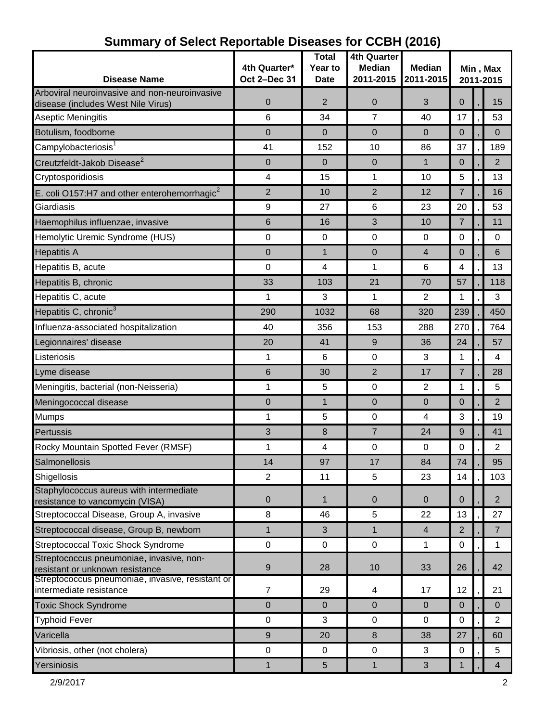| <b>Disease Name</b>                                                         | 4th Quarter*<br>Oct 2-Dec 31 | <b>Total</b><br>Year to<br><b>Date</b> | <b>4th Quarter</b><br><b>Median</b><br>2011-2015 | <b>Median</b><br>2011-2015 | Min, Max<br>2011-2015 |  |                |
|-----------------------------------------------------------------------------|------------------------------|----------------------------------------|--------------------------------------------------|----------------------------|-----------------------|--|----------------|
| Arboviral neuroinvasive and non-neuroinvasive                               |                              |                                        |                                                  |                            |                       |  |                |
| disease (includes West Nile Virus)                                          | $\mathbf 0$                  | $\overline{2}$                         | $\mathbf 0$                                      | 3                          | 0                     |  | 15             |
| <b>Aseptic Meningitis</b>                                                   | 6                            | 34                                     | 7                                                | 40                         | 17                    |  | 53             |
| Botulism, foodborne                                                         | $\Omega$                     | 0                                      | $\mathbf 0$                                      | 0                          | $\mathbf 0$           |  | $\overline{0}$ |
| Campylobacteriosis <sup>1</sup>                                             | 41                           | 152                                    | 10                                               | 86                         | 37                    |  | 189            |
| Creutzfeldt-Jakob Disease <sup>2</sup>                                      | $\overline{0}$               | $\overline{0}$                         | $\overline{0}$                                   | $\mathbf{1}$               | $\mathbf 0$           |  | 2              |
| Cryptosporidiosis                                                           | 4                            | 15                                     | 1                                                | 10                         | 5                     |  | 13             |
| E. coli O157:H7 and other enterohemorrhagic $^2$                            | $\overline{2}$               | 10                                     | $\overline{2}$                                   | 12                         | 7                     |  | 16             |
| Giardiasis                                                                  | $\boldsymbol{9}$             | 27                                     | 6                                                | 23                         | 20                    |  | 53             |
| Haemophilus influenzae, invasive                                            | 6                            | 16                                     | 3                                                | 10                         | $\overline{7}$        |  | 11             |
| Hemolytic Uremic Syndrome (HUS)                                             | $\mathbf 0$                  | $\mathbf 0$                            | $\mathbf 0$                                      | $\mathbf 0$                | 0                     |  | 0              |
| <b>Hepatitis A</b>                                                          | $\Omega$                     | 1                                      | 0                                                | 4                          | $\Omega$              |  | 6              |
| Hepatitis B, acute                                                          | $\mathbf 0$                  | 4                                      | 1                                                | 6                          | 4                     |  | 13             |
| Hepatitis B, chronic                                                        | 33                           | 103                                    | 21                                               | 70                         | 57                    |  | 118            |
| Hepatitis C, acute                                                          | 1                            | 3                                      | 1                                                | 2                          | 1                     |  | 3              |
| Hepatitis C, chronic <sup>3</sup>                                           | 290                          | 1032                                   | 68                                               | 320                        | 239                   |  | 450            |
| Influenza-associated hospitalization                                        | 40                           | 356                                    | 153                                              | 288                        | 270                   |  | 764            |
| Legionnaires' disease                                                       | 20                           | 41                                     | 9                                                | 36                         | 24                    |  | 57             |
| Listeriosis                                                                 | 1                            | 6                                      | 0                                                | 3                          | 1                     |  | 4              |
| Lyme disease                                                                | 6                            | 30                                     | $\overline{2}$                                   | 17                         | $\overline{7}$        |  | 28             |
| Meningitis, bacterial (non-Neisseria)                                       | 1                            | 5                                      | 0                                                | 2                          | 1                     |  | 5              |
| Meningococcal disease                                                       | $\mathbf 0$                  | $\mathbf{1}$                           | $\Omega$                                         | 0                          | $\mathbf 0$           |  | $\overline{2}$ |
| <b>Mumps</b>                                                                | 1                            | 5                                      | 0                                                | 4                          | 3                     |  | 19             |
| Pertussis                                                                   | 3                            | 8                                      | $\overline{7}$                                   | 24                         | 9                     |  | 41             |
| Rocky Mountain Spotted Fever (RMSF)                                         | 1                            | 4                                      | 0                                                | $\mathbf 0$                | 0                     |  | $\overline{2}$ |
| Salmonellosis                                                               | 14                           | 97                                     | 17                                               | 84                         | 74                    |  | 95             |
| Shigellosis                                                                 | $\overline{2}$               | 11                                     | 5                                                | 23                         | 14                    |  | 103            |
| Staphylococcus aureus with intermediate<br>resistance to vancomycin (VISA)  | $\mathbf 0$                  | 1                                      | $\mathbf{0}$                                     | $\overline{0}$             | $\mathbf{0}$          |  | $\overline{2}$ |
| Streptococcal Disease, Group A, invasive                                    | 8                            | 46                                     | 5                                                | 22                         | 13                    |  | 27             |
| Streptococcal disease, Group B, newborn                                     | $\mathbf{1}$                 | 3                                      | $\mathbf{1}$                                     | $\overline{4}$             | 2                     |  | $\overline{7}$ |
| Streptococcal Toxic Shock Syndrome                                          | $\mathbf 0$                  | $\mathbf 0$                            | $\mathbf 0$                                      | 1                          | $\mathbf 0$           |  | 1              |
| Streptococcus pneumoniae, invasive, non-<br>resistant or unknown resistance | $9\,$                        | 28                                     | 10                                               | 33                         | 26                    |  | 42             |
| Streptococcus pneumoniae, invasive, resistant or<br>intermediate resistance | $\overline{7}$               | 29                                     | 4                                                | 17                         | 12                    |  | 21             |
| <b>Toxic Shock Syndrome</b>                                                 | $\overline{0}$               | $\mathbf 0$                            | $\Omega$                                         | $\overline{0}$             | $\mathbf{0}$          |  | $\Omega$       |
| <b>Typhoid Fever</b>                                                        | 0                            | 3                                      | $\mathbf 0$                                      | $\mathbf 0$                | 0                     |  | $\overline{2}$ |
| Varicella                                                                   | 9                            | 20                                     | 8                                                | 38                         | 27                    |  | 60             |
| Vibriosis, other (not cholera)                                              | $\pmb{0}$                    | $\mathbf 0$                            | $\mathbf 0$                                      | 3                          | 0                     |  | $\overline{5}$ |
| Yersiniosis                                                                 | $\mathbf{1}$                 | $5\phantom{.0}$                        | $\mathbf{1}$                                     | 3                          | $\mathbf{1}$          |  | $\overline{4}$ |

# **Summary of Select Reportable Diseases for CCBH (2016)**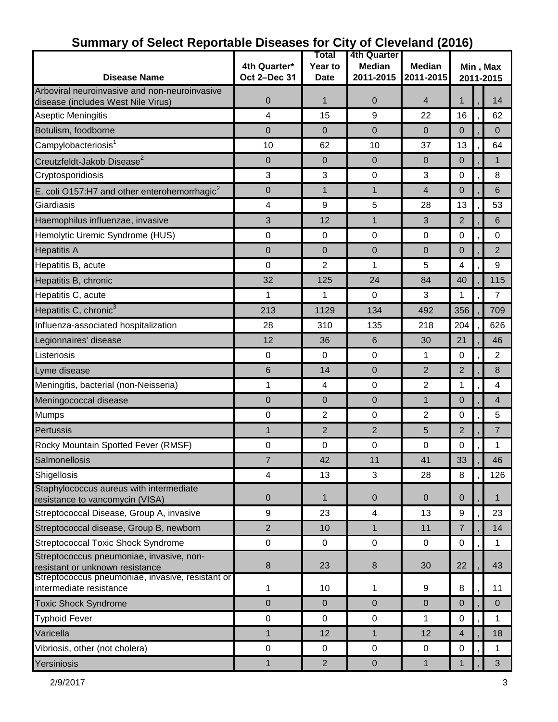|                                                                                     |                  | Total          | 4th Quarter    |                |                |  |                |  |
|-------------------------------------------------------------------------------------|------------------|----------------|----------------|----------------|----------------|--|----------------|--|
|                                                                                     | 4th Quarter*     | Year to        | <b>Median</b>  | <b>Median</b>  | Min, Max       |  |                |  |
| <b>Disease Name</b>                                                                 | Oct 2-Dec 31     | <b>Date</b>    | 2011-2015      | 2011-2015      | 2011-2015      |  |                |  |
| Arboviral neuroinvasive and non-neuroinvasive<br>disease (includes West Nile Virus) | $\boldsymbol{0}$ | 1              | 0              | $\overline{4}$ | $\mathbf{1}$   |  | 14             |  |
| <b>Aseptic Meningitis</b>                                                           | 4                | 15             | 9              | 22             | 16             |  | 62             |  |
| Botulism, foodborne                                                                 | $\mathbf 0$      | $\Omega$       | $\mathbf 0$    | $\overline{0}$ | 0              |  | $\mathbf{0}$   |  |
| Campylobacteriosis <sup>1</sup>                                                     | 10               | 62             | 10             | 37             | 13             |  | 64             |  |
| Creutzfeldt-Jakob Disease <sup>2</sup>                                              | $\mathbf 0$      | $\Omega$       | $\Omega$       | $\overline{0}$ | $\Omega$       |  | 1              |  |
| Cryptosporidiosis                                                                   | 3                | 3              | $\pmb{0}$      | 3              | 0              |  | 8              |  |
| E. coli O157:H7 and other enterohemorrhagic $2$                                     | $\mathbf 0$      | $\mathbf{1}$   | $\mathbf 1$    | 4              | $\Omega$       |  | 6              |  |
| Giardiasis                                                                          | 4                | 9              | 5              | 28             | 13             |  | 53             |  |
| Haemophilus influenzae, invasive                                                    | 3                | 12             | $\mathbf 1$    | 3              | $\overline{2}$ |  | 6              |  |
| Hemolytic Uremic Syndrome (HUS)                                                     | 0                | 0              | 0              | 0              | 0              |  | 0              |  |
| <b>Hepatitis A</b>                                                                  | $\mathbf 0$      | $\Omega$       | 0              | 0              | $\Omega$       |  | $\overline{2}$ |  |
| Hepatitis B, acute                                                                  | 0                | 2              | 1              | 5              | 4              |  | 9              |  |
| Hepatitis B, chronic                                                                | 32               | 125            | 24             | 84             | 40             |  | 115            |  |
| Hepatitis C, acute                                                                  | 1                | 1              | 0              | 3              | 1              |  | $\overline{7}$ |  |
| Hepatitis C, chronic <sup>3</sup>                                                   | 213              | 1129           | 134            | 492            | 356            |  | 709            |  |
| Influenza-associated hospitalization                                                | 28               | 310            | 135            | 218            | 204            |  | 626            |  |
| Legionnaires' disease                                                               | 12               | 36             | 6              | 30             | 21             |  | 46             |  |
| Listeriosis                                                                         | $\boldsymbol{0}$ | 0              | 0              | 1              | 0              |  | 2              |  |
| Lyme disease                                                                        | 6                | 14             | 0              | 2              | $\overline{2}$ |  | 8              |  |
| Meningitis, bacterial (non-Neisseria)                                               | 1                | 4              | $\mathbf 0$    | 2              | 1              |  | 4              |  |
| Meningococcal disease                                                               | $\mathbf 0$      | $\Omega$       | $\mathbf 0$    | $\mathbf{1}$   | $\mathbf 0$    |  | 4              |  |
| <b>Mumps</b>                                                                        | $\boldsymbol{0}$ | $\overline{2}$ | 0              | 2              | 0              |  | 5              |  |
| Pertussis                                                                           | 1                | $\overline{2}$ | $\overline{2}$ | 5              | 2              |  | 7              |  |
| Rocky Mountain Spotted Fever (RMSF)                                                 | 0                | 0              | 0              | 0              | 0              |  | 1              |  |
| Salmonellosis                                                                       | $\overline{7}$   | 42             | 11             | 41             | 33             |  | 46             |  |
| Shigellosis                                                                         | 4                | 13             | 3              | 28             | 8              |  | 126            |  |
| Staphylococcus aureus with intermediate<br>resistance to vancomycin (VISA)          | $\mathbf 0$      | 1              | $\pmb{0}$      | $\mathbf{0}$   | $\mathbf 0$    |  | 1              |  |
| Streptococcal Disease, Group A, invasive                                            | 9                | 23             | 4              | 13             | 9              |  | 23             |  |
| Streptococcal disease, Group B, newborn                                             | $\overline{2}$   | 10             | $\mathbf{1}$   | 11             | $\overline{7}$ |  | 14             |  |
| Streptococcal Toxic Shock Syndrome                                                  | $\pmb{0}$        | $\mathbf 0$    | 0              | $\mathbf 0$    | $\mathbf 0$    |  | 1              |  |
| Streptococcus pneumoniae, invasive, non-                                            |                  |                |                |                |                |  |                |  |
| resistant or unknown resistance<br>Streptococcus pneumoniae, invasive, resistant or | $\bf 8$          | 23             | 8              | 30             | 22             |  | 43             |  |
| intermediate resistance                                                             | 1                | 10             | 1              | 9              | 8              |  | 11             |  |
| <b>Toxic Shock Syndrome</b>                                                         | $\mathbf 0$      | $\overline{0}$ | $\mathbf 0$    | $\mathbf 0$    | $\Omega$       |  | $\Omega$       |  |
| <b>Typhoid Fever</b>                                                                | $\pmb{0}$        | $\pmb{0}$      | $\pmb{0}$      | 1              | 0              |  | 1              |  |
| Varicella                                                                           | 1                | 12             | $\mathbf{1}$   | 12             | $\overline{4}$ |  | 18             |  |
| Vibriosis, other (not cholera)                                                      | $\mathbf 0$      | 0              | 0              | 0              | $\mathbf 0$    |  | 1              |  |
| Yersiniosis                                                                         | 1                | $\overline{2}$ | $\pmb{0}$      | $\mathbf{1}$   | $\mathbf{1}$   |  | 3              |  |

### **Summary of Select Reportable Diseases for City of Cleveland (2016)**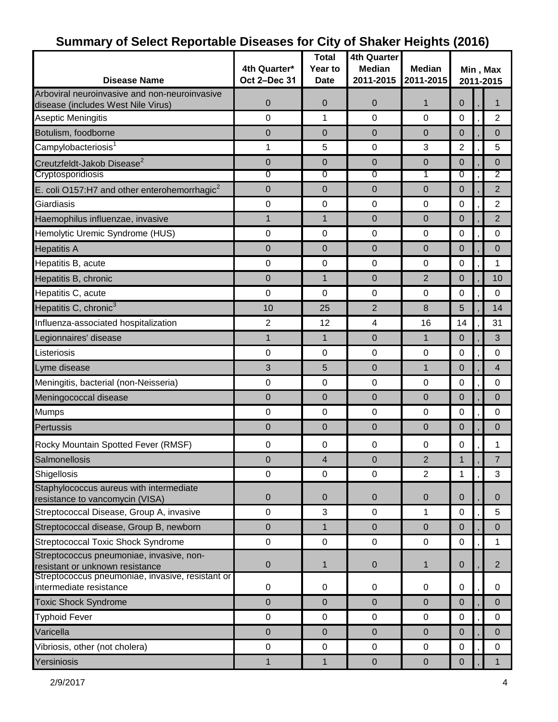|                                                                                     |              | <b>Total</b>            | <b>4th Quarter</b>       |                |                       |  |                |
|-------------------------------------------------------------------------------------|--------------|-------------------------|--------------------------|----------------|-----------------------|--|----------------|
|                                                                                     | 4th Quarter* | Year to                 | <b>Median</b>            | <b>Median</b>  | Min, Max<br>2011-2015 |  |                |
| <b>Disease Name</b>                                                                 | Oct 2-Dec 31 | <b>Date</b>             | 2011-2015                | 2011-2015      |                       |  |                |
| Arboviral neuroinvasive and non-neuroinvasive<br>disease (includes West Nile Virus) | 0            | $\mathbf 0$             | $\mathbf 0$              | $\mathbf{1}$   | $\mathbf 0$           |  |                |
| Aseptic Meningitis                                                                  | $\mathbf 0$  | 1                       | $\mathbf 0$              | $\overline{0}$ | $\mathbf 0$           |  | $\overline{2}$ |
| Botulism, foodborne                                                                 | 0            | 0                       | $\Omega$                 | $\Omega$       | $\overline{0}$        |  | $\Omega$       |
| Campylobacteriosis <sup>1</sup>                                                     | 1            | 5                       | 0                        | 3              | 2                     |  | 5              |
| Creutzfeldt-Jakob Disease <sup>2</sup>                                              | 0            | $\mathbf 0$             | $\mathbf 0$              | $\overline{0}$ | 0                     |  | $\Omega$       |
| Cryptosporidiosis                                                                   | 0            | 0                       | 0                        | 1              | 0                     |  | 2              |
| E. coli O157:H7 and other enterohemorrhagic <sup>2</sup>                            | 0            | $\mathbf{0}$            | $\mathbf 0$              | $\overline{0}$ | 0                     |  | $\overline{2}$ |
| Giardiasis                                                                          | $\mathbf 0$  | $\mathbf 0$             | $\Omega$                 | $\overline{0}$ | 0                     |  | $\overline{2}$ |
| Haemophilus influenzae, invasive                                                    | 1            | $\mathbf{1}$            | $\mathbf 0$              | $\overline{0}$ | 0                     |  | $\overline{2}$ |
| Hemolytic Uremic Syndrome (HUS)                                                     | 0            | $\mathbf 0$             | 0                        | 0              | 0                     |  | 0              |
| <b>Hepatitis A</b>                                                                  | 0            | 0                       | $\mathbf 0$              | $\overline{0}$ | 0                     |  | $\mathbf 0$    |
| Hepatitis B, acute                                                                  | 0            | $\mathbf 0$             | 0                        | 0              | 0                     |  | 1              |
| Hepatitis B, chronic                                                                | 0            | $\mathbf 1$             | $\mathbf 0$              | $\overline{2}$ | 0                     |  | 10             |
| Hepatitis C, acute                                                                  | $\mathbf 0$  | $\mathbf 0$             | $\mathbf 0$              | $\Omega$       | 0                     |  | 0              |
| Hepatitis C, chronic <sup>3</sup>                                                   | 10           | 25                      | $\overline{2}$           | 8              | 5                     |  | 14             |
| Influenza-associated hospitalization                                                | 2            | 12                      | $\overline{\mathcal{A}}$ | 16             | 14                    |  | 31             |
| Legionnaires' disease                                                               | 1            | $\mathbf 1$             | $\mathbf 0$              | $\mathbf{1}$   | $\Omega$              |  | 3              |
| Listeriosis                                                                         | 0            | $\mathbf 0$             | $\mathbf 0$              | 0              | 0                     |  | 0              |
| Lyme disease                                                                        | 3            | 5                       | $\Omega$                 | 1              | 0                     |  | $\overline{4}$ |
| Meningitis, bacterial (non-Neisseria)                                               | 0            | 0                       | 0                        | $\pmb{0}$      | 0                     |  | 0              |
| Meningococcal disease                                                               | 0            | 0                       | $\mathbf 0$              | $\mathbf 0$    | 0                     |  | $\Omega$       |
| <b>Mumps</b>                                                                        | 0            | $\mathbf 0$             | $\Omega$                 | $\overline{0}$ | 0                     |  | $\Omega$       |
| Pertussis                                                                           | 0            | $\mathbf 0$             | $\mathbf 0$              | $\mathbf 0$    | 0                     |  | $\overline{0}$ |
| Rocky Mountain Spotted Fever (RMSF)                                                 | 0            | 0                       | 0                        | $\mathbf 0$    | 0                     |  | 1              |
| Salmonellosis                                                                       | 0            | $\overline{\mathbf{4}}$ | $\pmb{0}$                | $\overline{2}$ | 1                     |  | $\overline{7}$ |
| Shigellosis                                                                         | $\mathbf 0$  | $\mathbf 0$             | $\mathbf 0$              | $\overline{2}$ | 1                     |  | 3              |
| Staphylococcus aureus with intermediate<br>resistance to vancomycin (VISA)          | 0            | $\mathbf{0}$            | $\mathbf 0$              | $\mathbf 0$    | 0                     |  | $\Omega$       |
| Streptococcal Disease, Group A, invasive                                            | $\mathbf 0$  | 3                       | 0                        | 1              | 0                     |  | 5              |
| Streptococcal disease, Group B, newborn                                             | 0            | $\mathbf{1}$            | $\mathbf 0$              | $\mathbf 0$    | $\mathbf 0$           |  | $\Omega$       |
| <b>Streptococcal Toxic Shock Syndrome</b>                                           | $\pmb{0}$    | $\pmb{0}$               | $\pmb{0}$                | $\pmb{0}$      | $\mathbf 0$           |  | $\mathbf{1}$   |
| Streptococcus pneumoniae, invasive, non-<br>resistant or unknown resistance         | $\mathbf 0$  | $\mathbf 1$             | $\mathbf 0$              | $\mathbf{1}$   | $\mathbf 0$           |  | $\overline{2}$ |
| Streptococcus pneumoniae, invasive, resistant or<br>intermediate resistance         | $\pmb{0}$    | 0                       | 0                        | 0              | $\pmb{0}$             |  | 0              |
| <b>Toxic Shock Syndrome</b>                                                         | 0            | $\mathbf 0$             | $\mathbf 0$              | $\mathbf 0$    | $\mathbf 0$           |  | $\mathbf{0}$   |
| <b>Typhoid Fever</b>                                                                | 0            | $\mathbf 0$             | 0                        | 0              | 0                     |  | 0              |
| Varicella                                                                           | 0            | $\pmb{0}$               | $\mathbf 0$              | $\mathbf 0$    | $\pmb{0}$             |  | $\overline{0}$ |
| Vibriosis, other (not cholera)                                                      | $\pmb{0}$    | $\mathbf 0$             | $\mathbf 0$              | $\mathbf 0$    | $\mathbf 0$           |  | 0              |
| Yersiniosis                                                                         | 1            | $\mathbf{1}$            | $\pmb{0}$                | $\pmb{0}$      | 0                     |  |                |

### **Summary of Select Reportable Diseases for City of Shaker Heights (2016)**